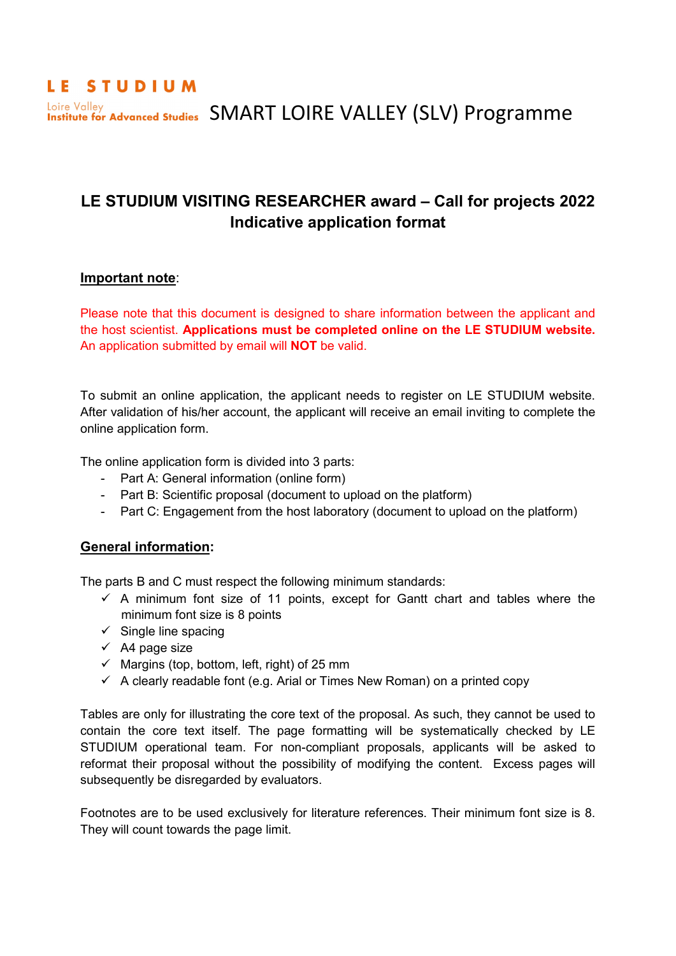# LE STUDIUM Loire Valley Advanced Studies SMART LOIRE VALLEY (SLV) Programme Loire Valley

# **LE STUDIUM VISITING RESEARCHER award – Call for projects 2022 Indicative application format**

# **Important note**:

Please note that this document is designed to share information between the applicant and the host scientist. **Applications must be completed online on the LE STUDIUM website.** An application submitted by email will **NOT** be valid.

To submit an online application, the applicant needs to register on LE STUDIUM website. After validation of his/her account, the applicant will receive an email inviting to complete the online application form.

The online application form is divided into 3 parts:

- Part A: General information (online form)
- Part B: Scientific proposal (document to upload on the platform)
- Part C: Engagement from the host laboratory (document to upload on the platform)

# **General information:**

The parts B and C must respect the following minimum standards:

- $\checkmark$  A minimum font size of 11 points, except for Gantt chart and tables where the minimum font size is 8 points
- $\checkmark$  Single line spacing
- $\checkmark$  A4 page size
- $\checkmark$  Margins (top, bottom, left, right) of 25 mm
- $\checkmark$  A clearly readable font (e.g. Arial or Times New Roman) on a printed copy

Tables are only for illustrating the core text of the proposal. As such, they cannot be used to contain the core text itself. The page formatting will be systematically checked by LE STUDIUM operational team. For non-compliant proposals, applicants will be asked to reformat their proposal without the possibility of modifying the content. Excess pages will subsequently be disregarded by evaluators.

Footnotes are to be used exclusively for literature references. Their minimum font size is 8. They will count towards the page limit.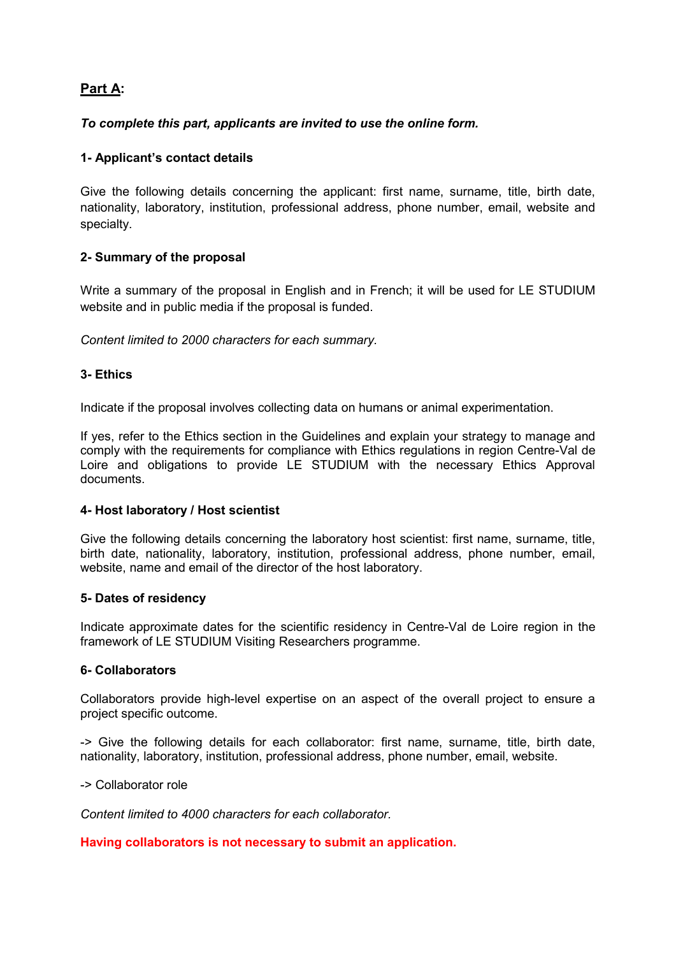# **Part A:**

# *To complete this part, applicants are invited to use the online form.*

## **1- Applicant's contact details**

Give the following details concerning the applicant: first name, surname, title, birth date, nationality, laboratory, institution, professional address, phone number, email, website and specialty.

## **2- Summary of the proposal**

Write a summary of the proposal in English and in French; it will be used for LE STUDIUM website and in public media if the proposal is funded.

*Content limited to 2000 characters for each summary.*

#### **3- Ethics**

Indicate if the proposal involves collecting data on humans or animal experimentation.

If yes, refer to the Ethics section in the Guidelines and explain your strategy to manage and comply with the requirements for compliance with Ethics regulations in region Centre-Val de Loire and obligations to provide LE STUDIUM with the necessary Ethics Approval documents.

#### **4- Host laboratory / Host scientist**

Give the following details concerning the laboratory host scientist: first name, surname, title, birth date, nationality, laboratory, institution, professional address, phone number, email, website, name and email of the director of the host laboratory.

#### **5- Dates of residency**

Indicate approximate dates for the scientific residency in Centre-Val de Loire region in the framework of LE STUDIUM Visiting Researchers programme.

#### **6- Collaborators**

Collaborators provide high-level expertise on an aspect of the overall project to ensure a project specific outcome.

-> Give the following details for each collaborator: first name, surname, title, birth date, nationality, laboratory, institution, professional address, phone number, email, website.

-> Collaborator role

*Content limited to 4000 characters for each collaborator.*

#### **Having collaborators is not necessary to submit an application.**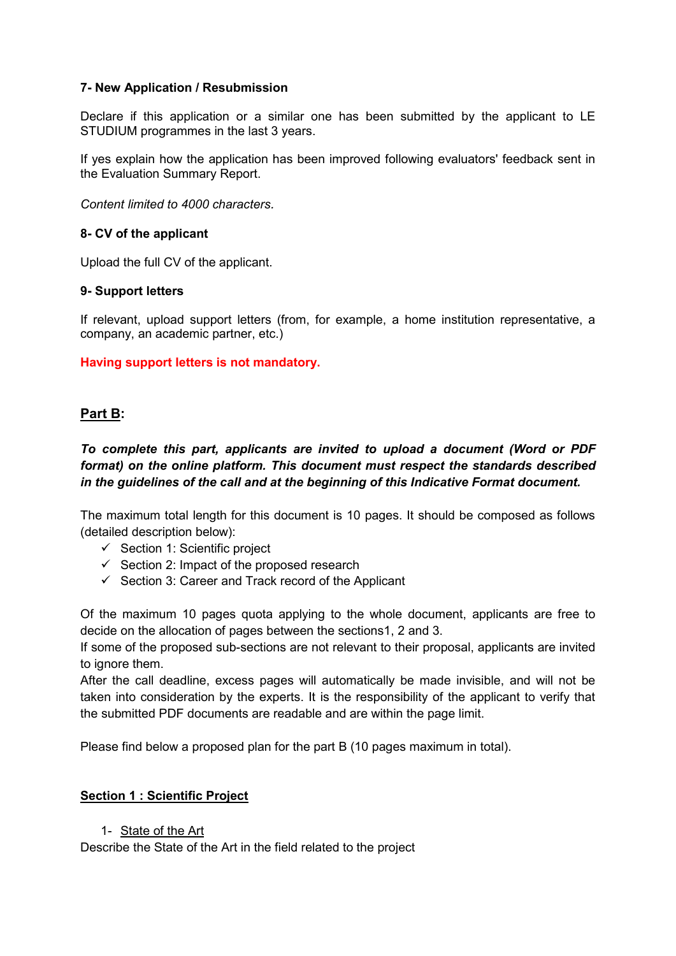#### **7- New Application / Resubmission**

Declare if this application or a similar one has been submitted by the applicant to LE STUDIUM programmes in the last 3 years.

If yes explain how the application has been improved following evaluators' feedback sent in the Evaluation Summary Report.

*Content limited to 4000 characters.*

#### **8- CV of the applicant**

Upload the full CV of the applicant.

#### **9- Support letters**

If relevant, upload support letters (from, for example, a home institution representative, a company, an academic partner, etc.)

#### **Having support letters is not mandatory.**

#### **Part B:**

*To complete this part, applicants are invited to upload a document (Word or PDF format) on the online platform. This document must respect the standards described in the guidelines of the call and at the beginning of this Indicative Format document.*

The maximum total length for this document is 10 pages. It should be composed as follows (detailed description below):

- $\checkmark$  Section 1: Scientific project
- $\checkmark$  Section 2: Impact of the proposed research
- $\checkmark$  Section 3: Career and Track record of the Applicant

Of the maximum 10 pages quota applying to the whole document, applicants are free to decide on the allocation of pages between the sections1, 2 and 3.

If some of the proposed sub-sections are not relevant to their proposal, applicants are invited to ignore them.

After the call deadline, excess pages will automatically be made invisible, and will not be taken into consideration by the experts. It is the responsibility of the applicant to verify that the submitted PDF documents are readable and are within the page limit.

Please find below a proposed plan for the part B (10 pages maximum in total).

#### **Section 1 : Scientific Project**

#### 1- State of the Art

Describe the State of the Art in the field related to the project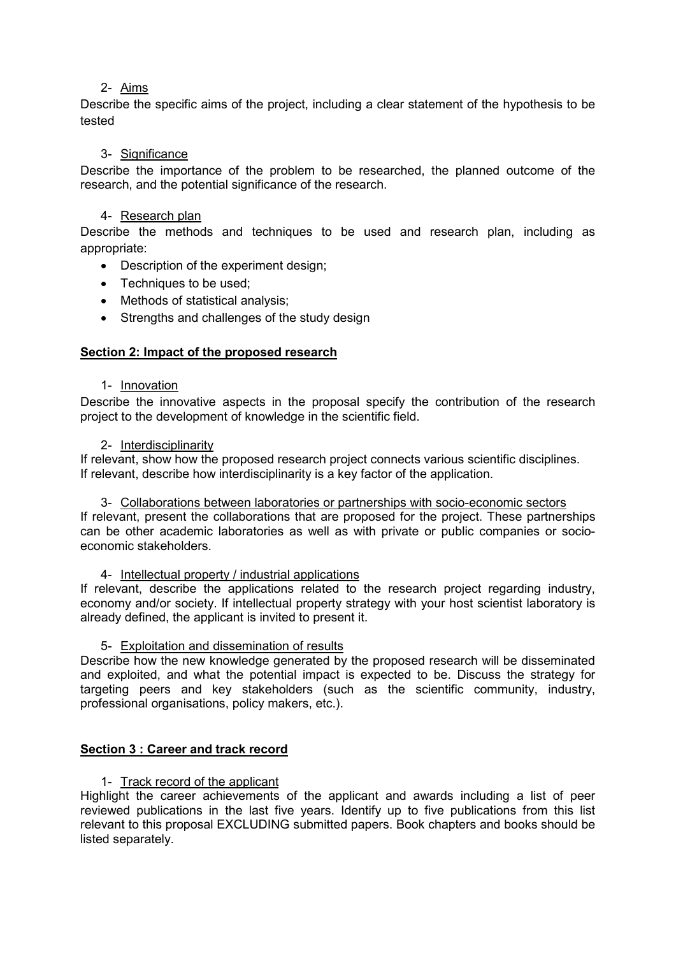## 2- Aims

Describe the specific aims of the project, including a clear statement of the hypothesis to be tested

#### 3- Significance

Describe the importance of the problem to be researched, the planned outcome of the research, and the potential significance of the research.

#### 4- Research plan

Describe the methods and techniques to be used and research plan, including as appropriate:

- Description of the experiment design;
- Techniques to be used:
- Methods of statistical analysis;
- Strengths and challenges of the study design

## **Section 2: Impact of the proposed research**

1- Innovation

Describe the innovative aspects in the proposal specify the contribution of the research project to the development of knowledge in the scientific field.

2- Interdisciplinarity

If relevant, show how the proposed research project connects various scientific disciplines. If relevant, describe how interdisciplinarity is a key factor of the application.

3- Collaborations between laboratories or partnerships with socio-economic sectors

If relevant, present the collaborations that are proposed for the project. These partnerships can be other academic laboratories as well as with private or public companies or socioeconomic stakeholders.

4- Intellectual property / industrial applications

If relevant, describe the applications related to the research project regarding industry, economy and/or society. If intellectual property strategy with your host scientist laboratory is already defined, the applicant is invited to present it.

#### 5- Exploitation and dissemination of results

Describe how the new knowledge generated by the proposed research will be disseminated and exploited, and what the potential impact is expected to be. Discuss the strategy for targeting peers and key stakeholders (such as the scientific community, industry, professional organisations, policy makers, etc.).

#### **Section 3 : Career and track record**

#### 1- Track record of the applicant

Highlight the career achievements of the applicant and awards including a list of peer reviewed publications in the last five years. Identify up to five publications from this list relevant to this proposal EXCLUDING submitted papers. Book chapters and books should be listed separately.